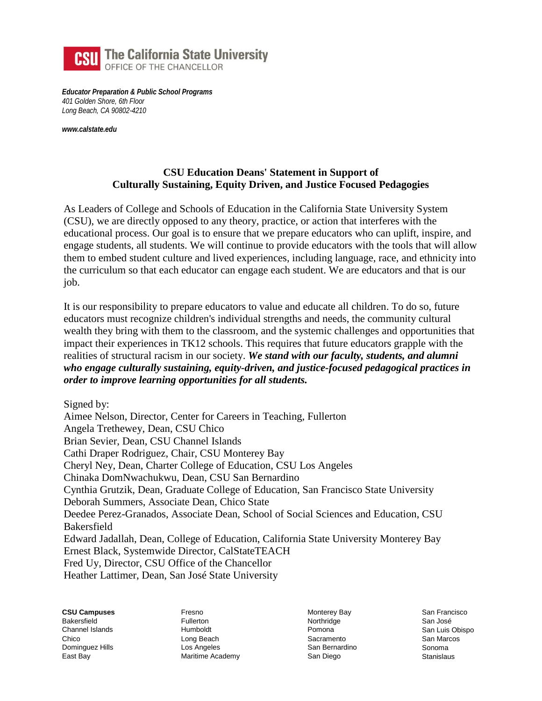

*Educator Preparation & Public School Programs 401 Golden Shore, 6th Floor Long Beach, CA 90802-4210*

*[www.calstate.edu](http://www.calstate.edu/)*

## **CSU Education Deans' Statement in Support of Culturally Sustaining, Equity Driven, and Justice Focused Pedagogies**

As Leaders of College and Schools of Education in the California State University System (CSU), we are directly opposed to any theory, practice, or action that interferes with the educational process. Our goal is to ensure that we prepare educators who can uplift, inspire, and engage students, all students. We will continue to provide educators with the tools that will allow them to embed student culture and lived experiences, including language, race, and ethnicity into the curriculum so that each educator can engage each student. We are educators and that is our job.

It is our responsibility to prepare educators to value and educate all children. To do so, future educators must recognize children's individual strengths and needs, the community cultural wealth they bring with them to the classroom, and the systemic challenges and opportunities that impact their experiences in TK12 schools. This requires that future educators grapple with the realities of structural racism in our society. *We stand with our faculty, students, and alumni who engage culturally sustaining, equity-driven, and justice-focused pedagogical practices in order to improve learning opportunities for all students.*

Signed by:

Aimee Nelson, Director, Center for Careers in Teaching, Fullerton Angela Trethewey, Dean, CSU Chico Brian Sevier, Dean, CSU Channel Islands Cathi Draper Rodriguez, Chair, CSU Monterey Bay Cheryl Ney, Dean, Charter College of Education, CSU Los Angeles Chinaka DomNwachukwu, Dean, CSU San Bernardino Cynthia Grutzik, Dean, Graduate College of Education, San Francisco State University Deborah Summers, Associate Dean, Chico State Deedee Perez-Granados, Associate Dean, School of Social Sciences and Education, CSU Bakersfield Edward Jadallah, Dean, College of Education, California State University Monterey Bay Ernest Black, Systemwide Director, CalStateTEACH Fred Uy, Director, CSU Office of the Chancellor Heather Lattimer, Dean, San José State University

**CSU Campuses**  Bakersfield Channel Islands **Chico** Dominguez Hills East Bay

Fresno Fullerton Humboldt Long Beach Los Angeles Maritime Academy Monterey Bay Northridge Pomona Sacramento San Bernardino San Diego

San Francisco San José San Luis Obispo San Marcos Sonoma **Stanislaus**